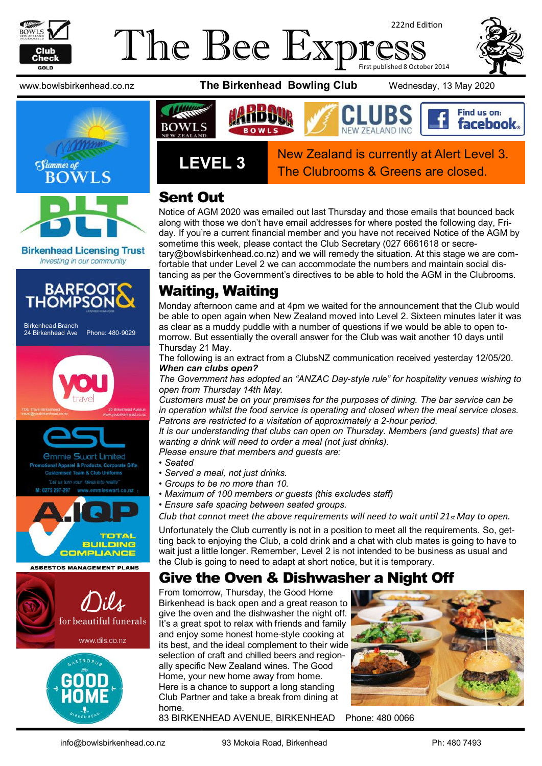

#### The Bee Exp 222nd Edition First published 8 October 2014



**Birkenhead Licensing Trust** Investing in our community



Birkenhead Branch 24 Birkenhead Ave Phone: 480-9029







### Sent Out

Notice of AGM 2020 was emailed out last Thursday and those emails that bounced back along with those we don't have email addresses for where posted the following day, Friday. If you're a current financial member and you have not received Notice of the AGM by sometime this week, please contact the Club Secretary (027 6661618 or secretary@bowlsbirkenhead.co.nz) and we will remedy the situation. At this stage we are comfortable that under Level 2 we can accommodate the numbers and maintain social distancing as per the Government's directives to be able to hold the AGM in the Clubrooms.

## Waiting, Waiting

Monday afternoon came and at 4pm we waited for the announcement that the Club would be able to open again when New Zealand moved into Level 2. Sixteen minutes later it was as clear as a muddy puddle with a number of questions if we would be able to open tomorrow. But essentially the overall answer for the Club was wait another 10 days until Thursday 21 May.

The following is an extract from a ClubsNZ communication received yesterday 12/05/20. *When can clubs open?* 

*The Government has adopted an "ANZAC Day-style rule" for hospitality venues wishing to open from Thursday 14th May.* 

*Customers must be on your premises for the purposes of dining. The bar service can be in operation whilst the food service is operating and closed when the meal service closes. Patrons are restricted to a visitation of approximately a 2-hour period.* 

*It is our understanding that clubs can open on Thursday. Members (and guests) that are wanting a drink will need to order a meal (not just drinks).* 

*Please ensure that members and guests are:* 

- *Seated*
- *Served a meal, not just drinks.*
- *Groups to be no more than 10.*
- *Maximum of 100 members or guests (this excludes staff)*
- *Ensure safe spacing between seated groups.*

*Club that cannot meet the above requirements will need to wait until 21st May to open.* 

Unfortunately the Club currently is not in a position to meet all the requirements. So, getting back to enjoying the Club, a cold drink and a chat with club mates is going to have to wait just a little longer. Remember, Level 2 is not intended to be business as usual and the Club is going to need to adapt at short notice, but it is temporary.

#### Give the Oven & Dishwasher a Night Off

From tomorrow, Thursday, the Good Home Birkenhead is back open and a great reason to give the oven and the dishwasher the night off. It's a great spot to relax with friends and family and enjoy some honest home-style cooking at its best, and the ideal complement to their wide selection of craft and chilled beers and regionally specific New Zealand wines. The Good Home, your new home away from home. Here is a chance to support a long standing Club Partner and take a break from dining at home.



83 BIRKENHEAD AVENUE, BIRKENHEAD Phone: [480 0066](tel:(09)%20480%200066)